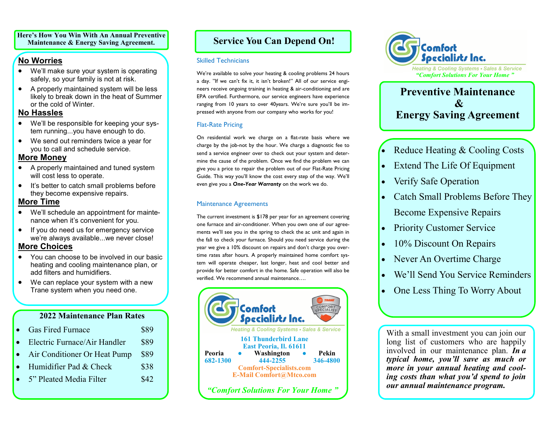**Here's How You Win With An Annual Preventive Maintenance & Energy Saving Agreement.**

# **No Worries**

- We'll make sure your system is operating safely, so your family is not at risk.
- A properly maintained system will be less likely to break down in the heat of Summer or the cold of Winter.

#### **No Hassles**

- We'll be responsible for keeping your system running...you have enough to do.
- We send out reminders twice a year for you to call and schedule service.

### **More Money**

- A properly maintained and tuned system will cost less to operate.
- It's better to catch small problems before they become expensive repairs.

# **More Time**

- We'll schedule an appointment for maintenance when it's convenient for you.
- If you do need us for emergency service we're always available...we never close!

# **More Choices**

- You can choose to be involved in our basic heating and cooling maintenance plan, or add filters and humidifiers.
- We can replace your system with a new Trane system when you need one.

# **2022 Maintenance Plan Rates**

|           | • Gas Fired Furnace            | \$89 |
|-----------|--------------------------------|------|
|           | • Electric Furnace/Air Handler | \$89 |
| $\bullet$ | Air Conditioner Or Heat Pump   | \$89 |
|           | • Humidifier Pad $&$ Check     | \$38 |
|           | 5" Pleated Media Filter        | \$42 |

# **Service You Can Depend On!**

#### Skilled Technicians

We're available to solve your heating & cooling problems 24 hours a day. "If we can't fix it, it isn't broken!" All of our service engineers receive ongoing training in heating & air-conditioning and are EPA certified. Furthermore, our service engineers have experience ranging from 10 years to over 40years. We're sure you'll be impressed with anyone from our company who works for you!

# Flat-Rate Pricing

On residential work we charge on a flat-rate basis where we charge by the job-not by the hour. We charge a diagnostic fee to send a service engineer over to check out your system and determine the cause of the problem. Once we find the problem we can give you a price to repair the problem out of our Flat-Rate Pricing Guide. This way you'll know the cost every step of the way. We'll even give you a *One-Year Warranty* on the work we do.

### Maintenance Agreements

The current investment is \$178 per year for an agreement covering one furnace and air-conditioner. When you own one of our agreements we'll see you in the spring to check the ac unit and again in the fall to check your furnace. Should you need service during the year we give a 10% discount on repairs and don't charge you overtime rates after hours. A properly maintained home comfort system will operate cheaper, last longer, heat and cool better and provide for better comfort in the home. Safe operation will also be verified. We recommend annual maintenance….





# **Preventive Maintenance**  $\mathcal{X}$ **Energy Saving Agreement**

- Reduce Heating  $&$  Cooling Costs
- Extend The Life Of Equipment
- Verify Safe Operation
- Catch Small Problems Before They Become Expensive Repairs
- **Priority Customer Service**
- 10% Discount On Repairs
- Never An Overtime Charge
- We'll Send You Service Reminders
- One Less Thing To Worry About

With a small investment you can join our long list of customers who are happily involved in our maintenance plan. *In a typical home, you'll save as much or more in your annual heating and cooling costs than what you'd spend to join our annual maintenance program.*